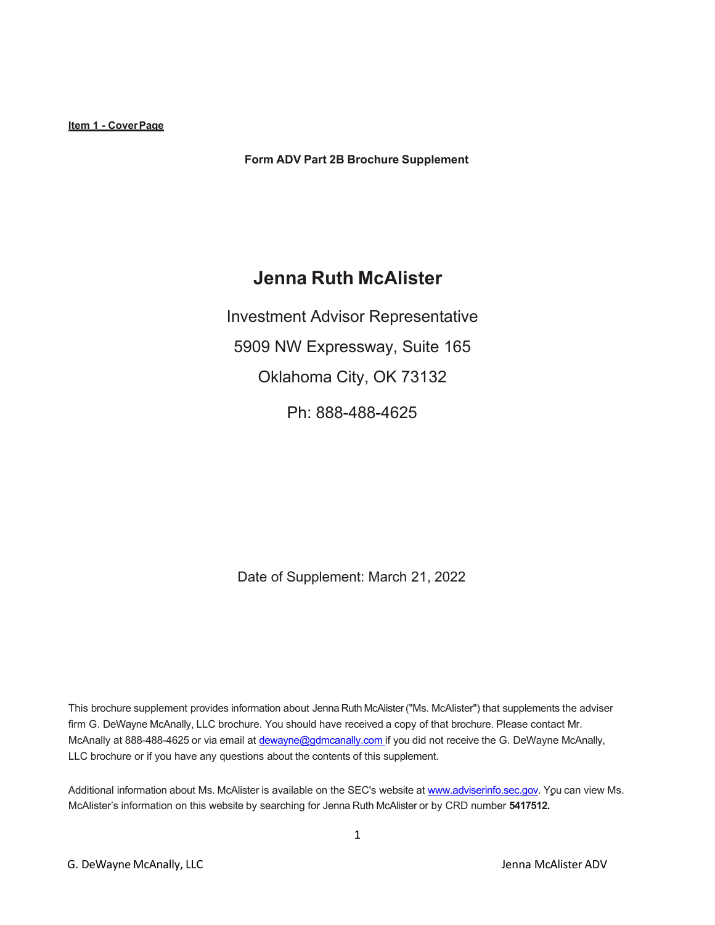**Form ADV Part 2B Brochure Supplement**

# **Jenna Ruth McAlister**

Investment Advisor Representative 5909 NW Expressway, Suite 165 Oklahoma City, OK 73132 Ph: 888-488-4625

Date of Supplement: March 21, 2022

This brochure supplement provides information about Jenna Ruth McAlister("Ms. McAlister") that supplements the adviser firm G. DeWayne McAnally, LLC brochure. You should have received a copy of that brochure. Please contact Mr. McAnally at 888-488-4625 or via email at [dewayne@gdmcanally.com](mailto:dewayne@gdmcanally.com) if you did not receive the G. DeWayne McAnally, LLC brochure or if you have any questions about the contents of this supplement.

Additional information about Ms. McAlister is available on the SEC's website at [www.adviserinfo.sec.gov.](http://www.adviserinfo.sec.gov/) You can view Ms. McAlister's information on this website by searching for Jenna Ruth McAlister or by CRD number **5417512.**